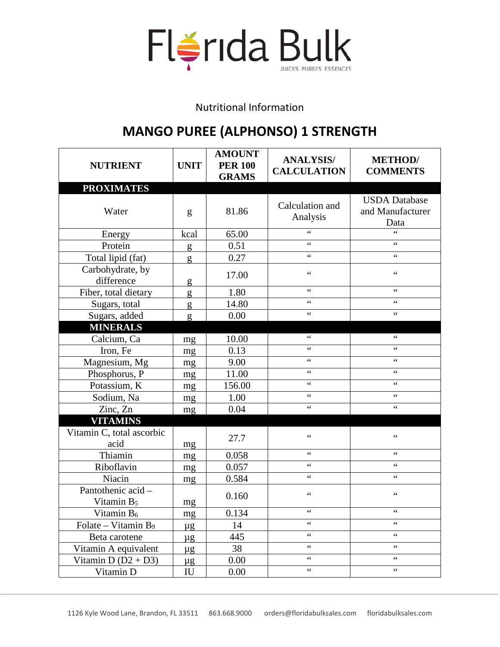

Nutritional Information

## **MANGO PUREE (ALPHONSO) 1 STRENGTH**

| <b>NUTRIENT</b>                             | <b>UNIT</b> | <b>AMOUNT</b><br><b>PER 100</b><br><b>GRAMS</b> | <b>ANALYSIS/</b><br><b>CALCULATION</b> | <b>METHOD</b> /<br><b>COMMENTS</b>               |
|---------------------------------------------|-------------|-------------------------------------------------|----------------------------------------|--------------------------------------------------|
| <b>PROXIMATES</b>                           |             |                                                 |                                        |                                                  |
| Water                                       | g           | 81.86                                           | Calculation and<br>Analysis            | <b>USDA</b> Database<br>and Manufacturer<br>Data |
| Energy                                      | kcal        | 65.00                                           | $\epsilon$                             | 66                                               |
| Protein                                     | g           | 0.51                                            | $\epsilon$                             | $\zeta$ $\zeta$                                  |
| Total lipid (fat)                           | g           | 0.27                                            | $\zeta$ $\zeta$                        | $\zeta$ $\zeta$                                  |
| Carbohydrate, by<br>difference              | g           | 17.00                                           | $\zeta$ $\zeta$                        | $\zeta$ $\zeta$                                  |
| Fiber, total dietary                        | g           | 1.80                                            | $\zeta$ $\zeta$                        | $\zeta$ $\zeta$                                  |
| Sugars, total                               | g           | 14.80                                           | $\epsilon$                             | $\zeta$ $\zeta$                                  |
| Sugars, added                               | g           | 0.00                                            | $\zeta$ $\zeta$                        | $\zeta$ $\zeta$                                  |
| <b>MINERALS</b>                             |             |                                                 |                                        |                                                  |
| Calcium, Ca                                 | mg          | 10.00                                           | $\zeta$ $\zeta$                        | $\zeta$ $\zeta$                                  |
| Iron, Fe                                    | mg          | 0.13                                            | $\zeta$ $\zeta$                        | $\zeta$ $\zeta$                                  |
| Magnesium, Mg                               | mg          | 9.00                                            | $\epsilon$                             | $\zeta$ $\zeta$                                  |
| Phosphorus, P                               | mg          | 11.00                                           | $\zeta$ $\zeta$                        | $\zeta$ $\zeta$                                  |
| Potassium, K                                | mg          | 156.00                                          | $\zeta$ $\zeta$                        | $\zeta$ $\zeta$                                  |
| Sodium, Na                                  | mg          | 1.00                                            | $\zeta$ $\zeta$                        | $\zeta$ $\zeta$                                  |
| Zinc, Zn                                    | mg          | 0.04                                            | $\zeta$ $\zeta$                        | $\zeta$ $\zeta$                                  |
| <b>VITAMINS</b>                             |             |                                                 |                                        |                                                  |
| Vitamin C, total ascorbic<br>acid           | mg          | 27.7                                            | $\zeta$ $\zeta$                        | $\zeta$ $\zeta$                                  |
| Thiamin                                     | mg          | 0.058                                           | $\zeta$ $\zeta$                        | 66                                               |
| Riboflavin                                  | mg          | 0.057                                           | $\zeta$ $\zeta$                        | $\zeta$ $\zeta$                                  |
| Niacin                                      | mg          | 0.584                                           | $\zeta$ $\zeta$                        | $\zeta$ $\zeta$                                  |
| Pantothenic acid-<br>Vitamin B <sub>5</sub> | mg          | 0.160                                           | $\zeta$ $\zeta$                        | $\zeta$ $\zeta$                                  |
| Vitamin B <sub>6</sub>                      | mg          | 0.134                                           | $\zeta$ $\zeta$                        | $\zeta$ $\zeta$                                  |
| Folate – Vitamin B <sub>9</sub>             | $\mu$ g     | 14                                              | $\zeta$ $\zeta$                        | $\epsilon$                                       |
| Beta carotene                               | $\mu$ g     | 445                                             | $\zeta$ $\zeta$                        | $\zeta$ $\zeta$                                  |
| Vitamin A equivalent                        | $\mu$ g     | 38                                              | $\zeta$ $\zeta$                        | $\zeta$ $\zeta$                                  |
| Vitamin D $(D2 + D3)$                       | $\mu$ g     | 0.00                                            | $\zeta$ $\zeta$                        | $\zeta$ $\zeta$                                  |
| Vitamin D                                   | IU          | 0.00                                            | $\zeta$ $\zeta$                        | $\boldsymbol{\zeta}$ $\boldsymbol{\zeta}$        |